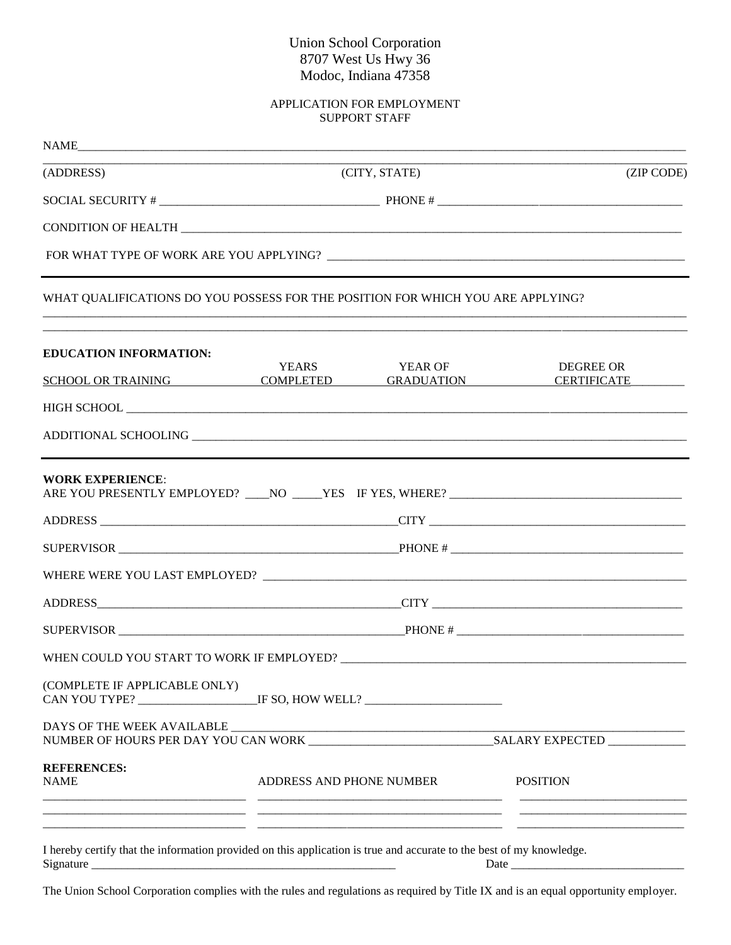## Union School Corporation 8707 West Us Hwy 36 Modoc, Indiana 47358

## APPLICATION FOR EMPLOYMENT SUPPORT STAFF

| (ADDRESS)                                                                                                                         | (CITY, STATE)            |                | (ZIP CODE)                      |
|-----------------------------------------------------------------------------------------------------------------------------------|--------------------------|----------------|---------------------------------|
|                                                                                                                                   |                          |                |                                 |
|                                                                                                                                   |                          |                |                                 |
|                                                                                                                                   |                          |                |                                 |
| WHAT QUALIFICATIONS DO YOU POSSESS FOR THE POSITION FOR WHICH YOU ARE APPLYING?                                                   |                          |                |                                 |
| <b>EDUCATION INFORMATION:</b>                                                                                                     |                          |                |                                 |
| SCHOOL OR TRAINING COMPLETED GRADUATION                                                                                           | <b>YEARS</b>             | <b>YEAR OF</b> | DEGREE OR<br><b>CERTIFICATE</b> |
|                                                                                                                                   |                          |                |                                 |
|                                                                                                                                   |                          |                |                                 |
| <b>WORK EXPERIENCE:</b>                                                                                                           |                          |                |                                 |
|                                                                                                                                   |                          |                |                                 |
|                                                                                                                                   |                          |                |                                 |
|                                                                                                                                   |                          |                |                                 |
|                                                                                                                                   |                          |                |                                 |
|                                                                                                                                   |                          |                |                                 |
|                                                                                                                                   |                          |                |                                 |
| (COMPLETE IF APPLICABLE ONLY)<br>CAN YOU TYPE? __________________________IF SO, HOW WELL? _______________________                 |                          |                |                                 |
|                                                                                                                                   |                          |                |                                 |
| <b>REFERENCES:</b><br><b>NAME</b>                                                                                                 | ADDRESS AND PHONE NUMBER |                | <b>POSITION</b>                 |
| I hereby certify that the information provided on this application is true and accurate to the best of my knowledge.<br>Signature |                          |                |                                 |

The Union School Corporation complies with the rules and regulations as required by Title IX and is an equal opportunity employer.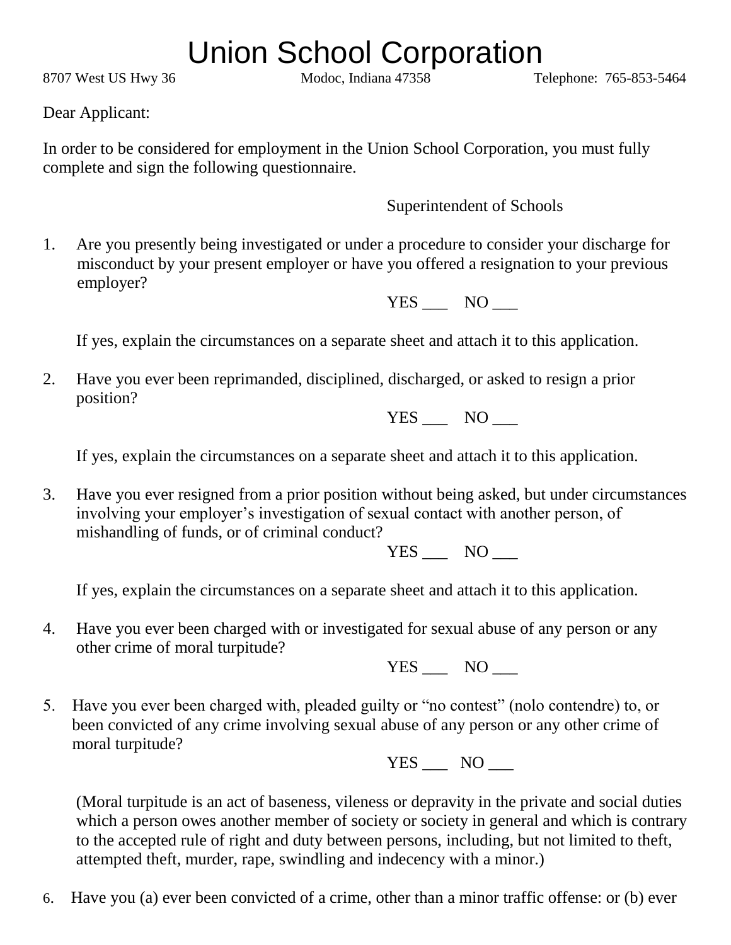## Union School Corporation

8707 West US Hwy 36 Modoc, Indiana 47358 Telephone: 765-853-5464

Dear Applicant:

In order to be considered for employment in the Union School Corporation, you must fully complete and sign the following questionnaire.

Superintendent of Schools

1. Are you presently being investigated or under a procedure to consider your discharge for misconduct by your present employer or have you offered a resignation to your previous employer?

YES NO

If yes, explain the circumstances on a separate sheet and attach it to this application.

2. Have you ever been reprimanded, disciplined, discharged, or asked to resign a prior position?

YES NO

If yes, explain the circumstances on a separate sheet and attach it to this application.

3. Have you ever resigned from a prior position without being asked, but under circumstances involving your employer's investigation of sexual contact with another person, of mishandling of funds, or of criminal conduct?

YES NO

If yes, explain the circumstances on a separate sheet and attach it to this application.

4. Have you ever been charged with or investigated for sexual abuse of any person or any other crime of moral turpitude?

YES NO

5. Have you ever been charged with, pleaded guilty or "no contest" (nolo contendre) to, or been convicted of any crime involving sexual abuse of any person or any other crime of moral turpitude?

YES NO

 (Moral turpitude is an act of baseness, vileness or depravity in the private and social duties which a person owes another member of society or society in general and which is contrary to the accepted rule of right and duty between persons, including, but not limited to theft, attempted theft, murder, rape, swindling and indecency with a minor.)

6. Have you (a) ever been convicted of a crime, other than a minor traffic offense: or (b) ever